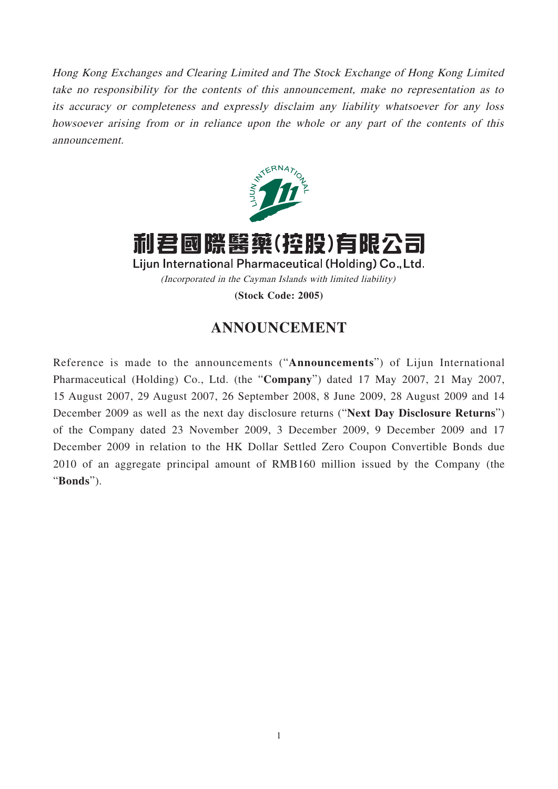Hong Kong Exchanges and Clearing Limited and The Stock Exchange of Hong Kong Limited take no responsibility for the contents of this announcement, make no representation as to its accuracy or completeness and expressly disclaim any liability whatsoever for any loss howsoever arising from or in reliance upon the whole or any part of the contents of this announcement.



利君國際醫藥(控股)有限公司 Lijun International Pharmaceutical (Holding) Co., Ltd. (Incorporated in the Cayman Islands with limited liability)

**(Stock Code: 2005)**

## **ANNOUNCEMENT**

Reference is made to the announcements ("**Announcements**") of Lijun International Pharmaceutical (Holding) Co., Ltd. (the "**Company**") dated 17 May 2007, 21 May 2007, 15 August 2007, 29 August 2007, 26 September 2008, 8 June 2009, 28 August 2009 and 14 December 2009 as well as the next day disclosure returns ("**Next Day Disclosure Returns**") of the Company dated 23 November 2009, 3 December 2009, 9 December 2009 and 17 December 2009 in relation to the HK Dollar Settled Zero Coupon Convertible Bonds due 2010 of an aggregate principal amount of RMB160 million issued by the Company (the "**Bonds**").